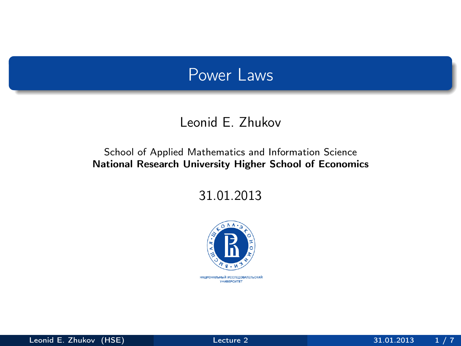## Power Laws

#### Leonid E. Zhukov

#### School of Applied Mathematics and Information Science National Research University Higher School of Economics

31.01.2013



<span id="page-0-0"></span>национальный исследовательский *YHMBEPCWTET*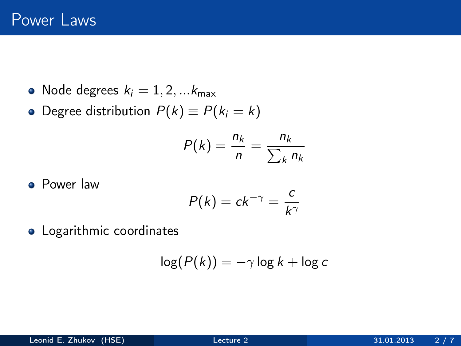- Node degrees  $k_i = 1, 2, \dots k_{\text{max}}$
- Degree distribution  $P(k) \equiv P(k_i = k)$

$$
P(k) = \frac{n_k}{n} = \frac{n_k}{\sum_k n_k}
$$

**•** Power law

$$
P(k) = ck^{-\gamma} = \frac{c}{k^{\gamma}}
$$

**•** Logarithmic coordinates

$$
\log(P(k)) = -\gamma \log k + \log c
$$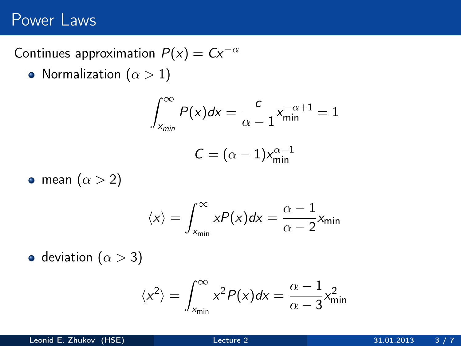## Power Laws

### Continues approximation  $P(x) = Cx^{-\alpha}$

• Normalization ( $\alpha > 1$ )

$$
\int_{x_{min}}^{\infty} P(x)dx = \frac{c}{\alpha - 1} x_{min}^{-\alpha + 1} = 1
$$

$$
C = (\alpha - 1) x_{min}^{\alpha - 1}
$$

• mean  $(\alpha > 2)$ 

$$
\langle x \rangle = \int_{x_{\min}}^{\infty} xP(x)dx = \frac{\alpha - 1}{\alpha - 2}x_{\min}
$$

• deviation ( $\alpha > 3$ )

$$
\langle x^2 \rangle = \int_{x_{\text{min}}}^{\infty} x^2 P(x) dx = \frac{\alpha - 1}{\alpha - 3} x_{\text{min}}^2
$$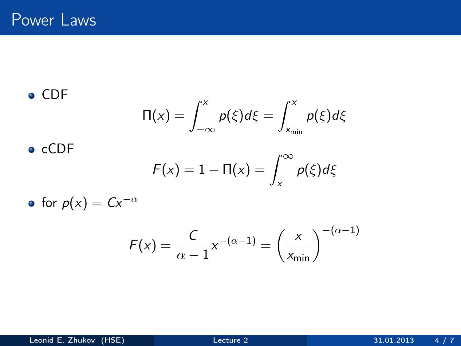CDF

$$
\Pi(x) = \int_{-\infty}^{x} p(\xi) d\xi = \int_{x_{\min}}^{x} p(\xi) d\xi
$$

 $\bullet$  cCDF

$$
F(x) = 1 - \Pi(x) = \int_x^{\infty} p(\xi) d\xi
$$

• for  $p(x) = Cx^{-\alpha}$ 

$$
F(x) = \frac{C}{\alpha - 1} x^{-(\alpha - 1)} = \left(\frac{x}{x_{\min}}\right)^{-(\alpha - 1)}
$$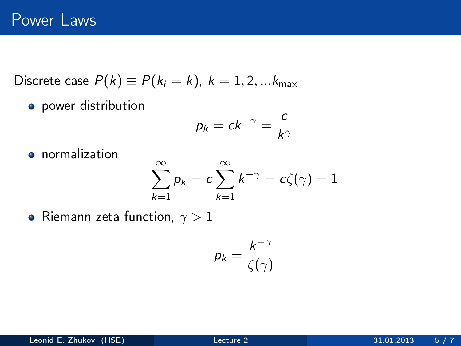Discrete case  $P(k) \equiv P(k_i = k)$ ,  $k = 1, 2, ... k_{max}$ 

**•** power distribution

$$
p_k = ck^{-\gamma} = \frac{c}{k^{\gamma}}
$$

**o** normalization

$$
\sum_{k=1}^{\infty} p_k = c \sum_{k=1}^{\infty} k^{-\gamma} = c\zeta(\gamma) = 1
$$

• Riemann zeta function,  $\gamma > 1$ 

$$
p_k = \frac{k^{-\gamma}}{\zeta(\gamma)}
$$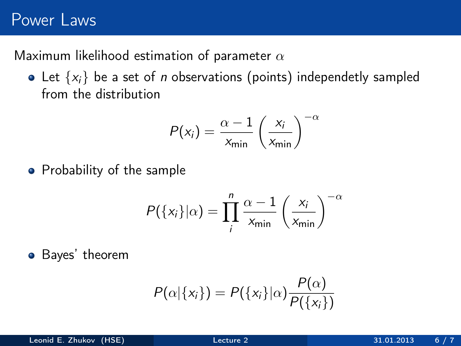# Power Laws

Maximum likelihood estimation of parameter  $\alpha$ 

• Let  $\{x_i\}$  be a set of *n* observations (points) independetly sampled from the distribution

$$
P(x_i) = \frac{\alpha - 1}{x_{\min}} \left(\frac{x_i}{x_{\min}}\right)^{-\alpha}
$$

• Probability of the sample

$$
P({xi}|\alpha) = \prod_{i}^{n} \frac{\alpha - 1}{x_{\min}} \left(\frac{x_i}{x_{\min}}\right)^{-\alpha}
$$

Bayes' theorem

$$
P(\alpha|\{x_i\}) = P(\{x_i\}|\alpha) \frac{P(\alpha)}{P(\{x_i\})}
$$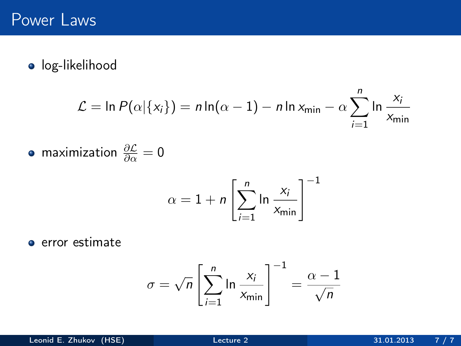**·** log-likelihood

$$
\mathcal{L} = \ln P(\alpha | \{x_i\}) = n \ln(\alpha - 1) - n \ln x_{\min} - \alpha \sum_{i=1}^n \ln \frac{x_i}{x_{\min}}
$$

maximization  $\frac{\partial \mathcal{L}}{\partial \alpha} = 0$ 

$$
\alpha = 1 + n \left[ \sum_{i=1}^{n} \ln \frac{x_i}{x_{\min}} \right]^{-1}
$$

**e** error estimate

<span id="page-6-0"></span>
$$
\sigma = \sqrt{n} \left[ \sum_{i=1}^{n} \ln \frac{x_i}{x_{\min}} \right]^{-1} = \frac{\alpha - 1}{\sqrt{n}}
$$